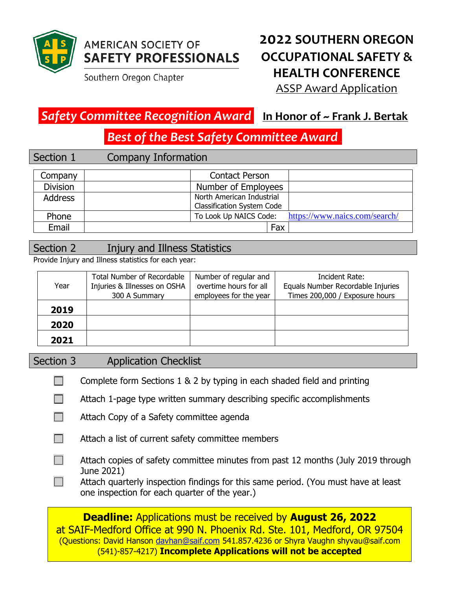

# **AMERICAN SOCIETY OF SAFETY PROFESSIONALS**

Southern Oregon Chapter

# **2022 SOUTHERN OREGON OCCUPATIONAL SAFETY & HEALTH CONFERENCE**

ASSP Award Application

### *Safety Committee Recognition Award* **In Honor of ~ Frank J. Bertak**

*Best of the Best Safety Committee Award \_* 

#### Section 1 Company Information

| Company         | <b>Contact Person</b>                                          |
|-----------------|----------------------------------------------------------------|
| <b>Division</b> | Number of Employees                                            |
| <b>Address</b>  | North American Industrial<br><b>Classification System Code</b> |
| Phone           | https://www.naics.com/search/<br>To Look Up NAICS Code:        |
| Email           | Fax                                                            |

#### Section 2 Injury and Illness Statistics

Provide Injury and Illness statistics for each year:

| Year | <b>Total Number of Recordable</b><br>Injuries & Illnesses on OSHA<br>300 A Summary | Number of regular and<br>overtime hours for all<br>employees for the year | Incident Rate:<br>Equals Number Recordable Injuries<br>Times 200,000 / Exposure hours |
|------|------------------------------------------------------------------------------------|---------------------------------------------------------------------------|---------------------------------------------------------------------------------------|
| 2019 |                                                                                    |                                                                           |                                                                                       |
| 2020 |                                                                                    |                                                                           |                                                                                       |
| 2021 |                                                                                    |                                                                           |                                                                                       |

#### Section 3 Application Checklist

- $\Box$ Complete form Sections 1 & 2 by typing in each shaded field and printing
- $\Box$ Attach 1-page type written summary describing specific accomplishments
- $\Box$ Attach Copy of a Safety committee agenda
- $\Box$ Attach a list of current safety committee members
- $\Box$ Attach copies of safety committee minutes from past 12 months (July 2019 through June 2021)
- Attach quarterly inspection findings for this same period. (You must have at least  $\Box$ one inspection for each quarter of the year.)

**Deadline:** Applications must be received by **August 26, 2022** at SAIF-Medford Office at 990 N. Phoenix Rd. Ste. 101, Medford, OR 97504 (Questions: David Hanson [davhan@saif.com](mailto:davhan@saif.com) 541.857.4236 or Shyra Vaughn shyvau@saif.com (541)-857-4217) **Incomplete Applications will not be accepted**